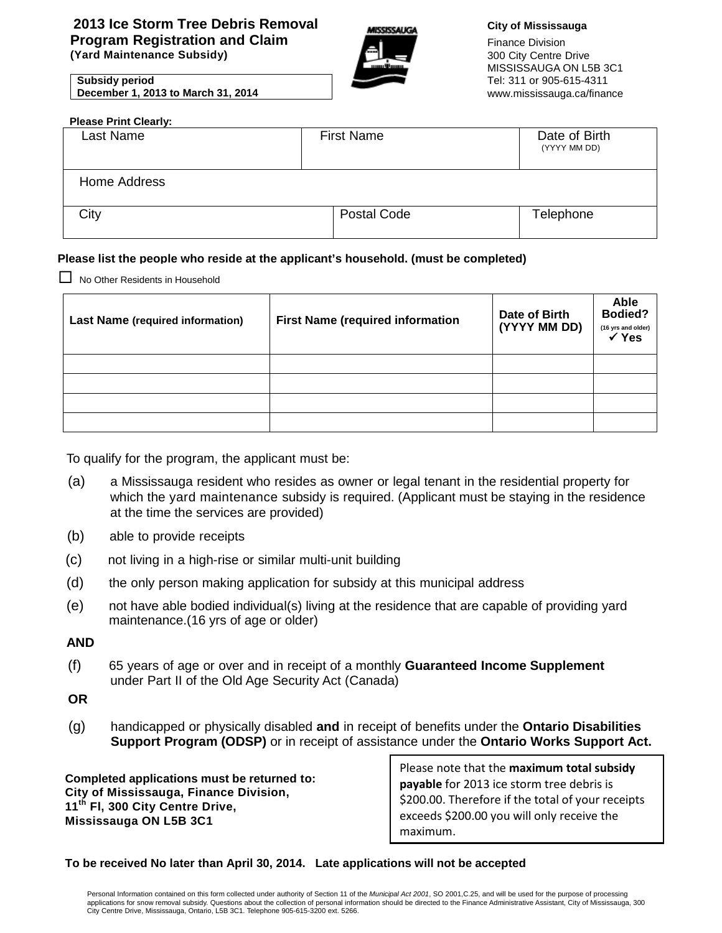## **2013 Ice Storm Tree Debris Removal Program Registration and Claim (Yard Maintenance Subsidy)**

הוקקוקלם והוא

#### **City of Mississauga**

Finance Division 300 City Centre Drive MISSISSAUGA ON L5B 3C1 Tel: 311 or 905-615-4311 [www.mississauga.ca/finance](http://www.mississauga.ca/finance)

| <b>Subsidy period</b>              |  |
|------------------------------------|--|
| December 1, 2013 to March 31, 2014 |  |

| <b>Please Print Clearly:</b> |                   |                               |
|------------------------------|-------------------|-------------------------------|
| Last Name                    | <b>First Name</b> | Date of Birth<br>(YYYY MM DD) |
| Home Address                 |                   |                               |
| City                         | Postal Code       | Telephone                     |

## **Please list the people who reside at the applicant's household. (must be completed)**

 $\Box$  No Other Residents in Household

| <b>Last Name (required information)</b> | <b>First Name (required information</b> | Date of Birth<br>(YYYY MM DD) | Able<br><b>Bodied?</b><br>(16 yrs and older)<br>$\checkmark$ Yes |
|-----------------------------------------|-----------------------------------------|-------------------------------|------------------------------------------------------------------|
|                                         |                                         |                               |                                                                  |
|                                         |                                         |                               |                                                                  |
|                                         |                                         |                               |                                                                  |
|                                         |                                         |                               |                                                                  |

To qualify for the program, the applicant must be:

- (a) a Mississauga resident who resides as owner or legal tenant in the residential property for which the yard maintenance subsidy is required. (Applicant must be staying in the residence at the time the services are provided)
- (b) able to provide receipts
- (c) not living in a high-rise or similar multi-unit building
- (d) the only person making application for subsidy at this municipal address
- (e) not have able bodied individual(s) living at the residence that are capable of providing yard maintenance.(16 yrs of age or older)

## **AND**

(f) 65 years of age or over and in receipt of a monthly **Guaranteed Income Supplement** under Part II of the Old Age Security Act (Canada)

### **OR**

(g) handicapped or physically disabled **and** in receipt of benefits under the **Ontario Disabilities Support Program (ODSP)** or in receipt of assistance under the **Ontario Works Support Act.**

**Completed applications must be returned to: City of Mississauga, Finance Division, 11th Fl, 300 City Centre Drive, Mississauga ON L5B 3C1**

Please note that the **maximum total subsidy payable** for 2013 ice storm tree debris is \$200.00. Therefore if the total of your receipts exceeds \$200.00 you will only receive the maximum.

#### **To be received No later than April 30, 2014. Late applications will not be accepted**